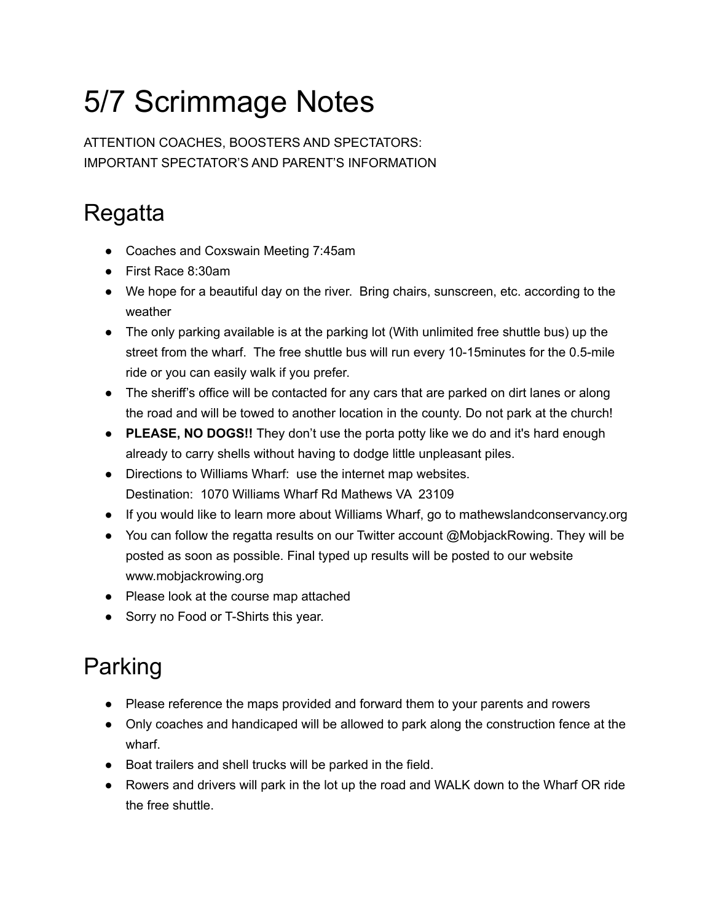## 5/7 Scrimmage Notes

ATTENTION COACHES, BOOSTERS AND SPECTATORS: IMPORTANT SPECTATOR'S AND PARENT'S INFORMATION

## **Regatta**

- Coaches and Coxswain Meeting 7:45am
- First Race 8:30am
- We hope for a beautiful day on the river. Bring chairs, sunscreen, etc. according to the weather
- The only parking available is at the parking lot (With unlimited free shuttle bus) up the street from the wharf. The free shuttle bus will run every 10-15minutes for the 0.5-mile ride or you can easily walk if you prefer.
- The sheriff's office will be contacted for any cars that are parked on dirt lanes or along the road and will be towed to another location in the county. Do not park at the church!
- **PLEASE, NO DOGS!!** They don't use the porta potty like we do and it's hard enough already to carry shells without having to dodge little unpleasant piles.
- Directions to Williams Wharf: use the internet map websites. Destination: 1070 Williams Wharf Rd Mathews VA 23109
- If you would like to learn more about Williams Wharf, go to mathewslandconservancy.org
- You can follow the regatta results on our Twitter account @MobjackRowing. They will be posted as soon as possible. Final typed up results will be posted to our website www.mobjackrowing.org
- Please look at the course map attached
- Sorry no Food or T-Shirts this year.

## Parking

- Please reference the maps provided and forward them to your parents and rowers
- Only coaches and handicaped will be allowed to park along the construction fence at the wharf.
- Boat trailers and shell trucks will be parked in the field.
- Rowers and drivers will park in the lot up the road and WALK down to the Wharf OR ride the free shuttle.